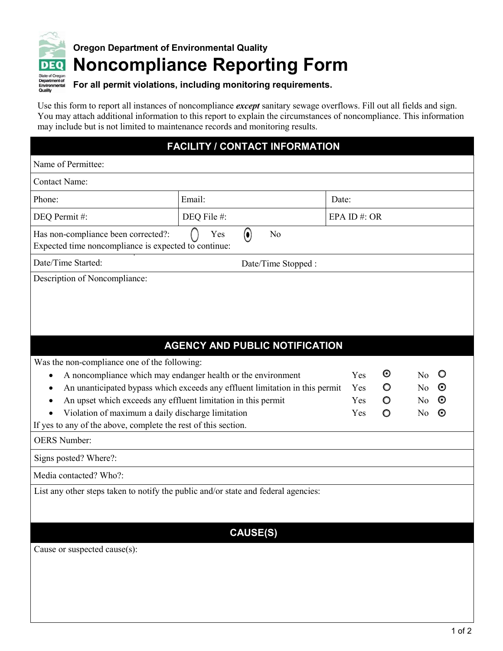

## **Oregon Department of Environmental Quality Noncompliance Reporting Form**

## **For all permit violations, including monitoring requirements.**

Use this form to report all instances of noncompliance *except* sanitary sewage overflows. Fill out all fields and sign. You may attach additional information to this report to explain the circumstances of noncompliance. This information may include but is not limited to maintenance records and monitoring results.

## **FACILITY / CONTACT INFORMATION**

| Name of Permittee:                                                                                                  |                                       |       |                |                |         |
|---------------------------------------------------------------------------------------------------------------------|---------------------------------------|-------|----------------|----------------|---------|
| <b>Contact Name:</b>                                                                                                |                                       |       |                |                |         |
| Phone:                                                                                                              | Email:                                | Date: |                |                |         |
| DEQ Permit#:                                                                                                        | DEQ File #:                           |       | EPA ID#: OR    |                |         |
| Has non-compliance been corrected?:<br>Expected time noncompliance is expected to continue:                         | Yes<br>$\left( \bullet \right)$<br>No |       |                |                |         |
| Date/Time Started:                                                                                                  | Date/Time Stopped :                   |       |                |                |         |
|                                                                                                                     |                                       |       |                |                |         |
|                                                                                                                     | <b>AGENCY AND PUBLIC NOTIFICATION</b> |       |                |                |         |
| Was the non-compliance one of the following:                                                                        |                                       |       |                |                |         |
| A noncompliance which may endanger health or the environment<br>٠                                                   |                                       | Yes   | $\bm{\odot}$   | N <sub>o</sub> | $\circ$ |
| An unanticipated bypass which exceeds any effluent limitation in this permit<br>٠                                   |                                       | Yes   | O              | N <sub>o</sub> | $\odot$ |
| An upset which exceeds any effluent limitation in this permit                                                       |                                       | Yes   | O              | N <sub>o</sub> | $\odot$ |
| Violation of a maximum daily discharge limitation<br>If yes to any of the above, complete the rest of this section. |                                       |       | $\circ$<br>Yes | N <sub>o</sub> | $\odot$ |
| <b>OERS</b> Number:                                                                                                 |                                       |       |                |                |         |
| Signs posted? Where?:                                                                                               |                                       |       |                |                |         |
| Media contacted? Who?:                                                                                              |                                       |       |                |                |         |
| List any other steps taken to notify the public and/or state and federal agencies:                                  |                                       |       |                |                |         |
|                                                                                                                     | <b>CAUSE(S)</b>                       |       |                |                |         |
| Cause or suspected cause(s):                                                                                        |                                       |       |                |                |         |